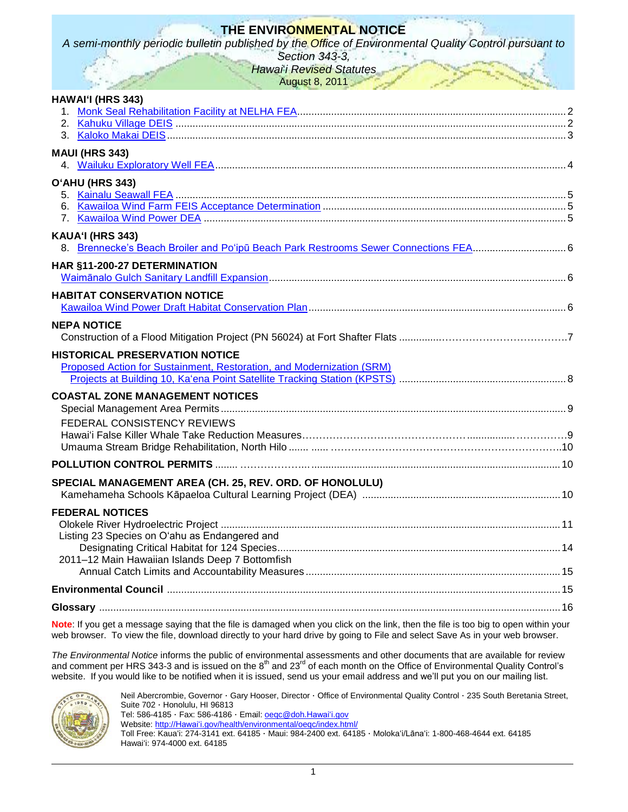# **THE ENVIRONMENTAL NOTICE**

*A semi-monthly periodic bulletin published by the Office of Environmental Quality Control pursuant to* 

*Section 343-3, Hawai*‗*i Revised Statutes* August 8, 2011

| HAWAI'I (HRS 343)                                                                                              |  |
|----------------------------------------------------------------------------------------------------------------|--|
| <b>MAUI (HRS 343)</b>                                                                                          |  |
| O'AHU (HRS 343)                                                                                                |  |
| KAUA'I (HRS 343)                                                                                               |  |
| HAR §11-200-27 DETERMINATION                                                                                   |  |
| <b>HABITAT CONSERVATION NOTICE</b>                                                                             |  |
| <b>NEPA NOTICE</b>                                                                                             |  |
| <b>HISTORICAL PRESERVATION NOTICE</b><br>Proposed Action for Sustainment, Restoration, and Modernization (SRM) |  |
| <b>COASTAL ZONE MANAGEMENT NOTICES</b>                                                                         |  |
| FEDERAL CONSISTENCY REVIEWS                                                                                    |  |
|                                                                                                                |  |
| SPECIAL MANAGEMENT AREA (CH. 25, REV. ORD. OF HONOLULU)                                                        |  |
| <b>FEDERAL NOTICES</b><br>Listing 23 Species on O'ahu as Endangered and                                        |  |
| 2011-12 Main Hawaiian Islands Deep 7 Bottomfish                                                                |  |
|                                                                                                                |  |
|                                                                                                                |  |
|                                                                                                                |  |

**Note**: If you get a message saying that the file is damaged when you click on the link, then the file is too big to open within your web browser. To view the file, download directly to your hard drive by going to File and select Save As in your web browser.

*The Environmental Notice* informs the public of environmental assessments and other documents that are available for review and comment per HRS 343-3 and is issued on the 8<sup>th</sup> and 23<sup>rd</sup> of each month on the Office of Environmental Quality Control's website. If you would like to be notified when it is issued, send us your email address and we'll put you on our mailing list.



Neil Abercrombie, Governor · Gary Hooser, Director · Office of Environmental Quality Control · 235 South Beretania Street, Suite 702 · Honolulu, HI 96813

Tel: 586-4185 · Fax: 586-4186 · Email: [oeqc@doh.Hawaiʻi.gov](mailto:oeqc@doh.hawaii.gov) Website: [http://Hawaiʻi.gov/health/environmental/oeqc/index.html/](http://hawaii.gov/health/environmental/oeqc/index.html/)

Toll Free: Kauaʻi: 274-3141 ext. 64185 · Maui: 984-2400 ext. 64185 · Molokaʻi/Lānaʻi: 1-800-468-4644 ext. 64185 Hawaiʻi: 974-4000 ext. 64185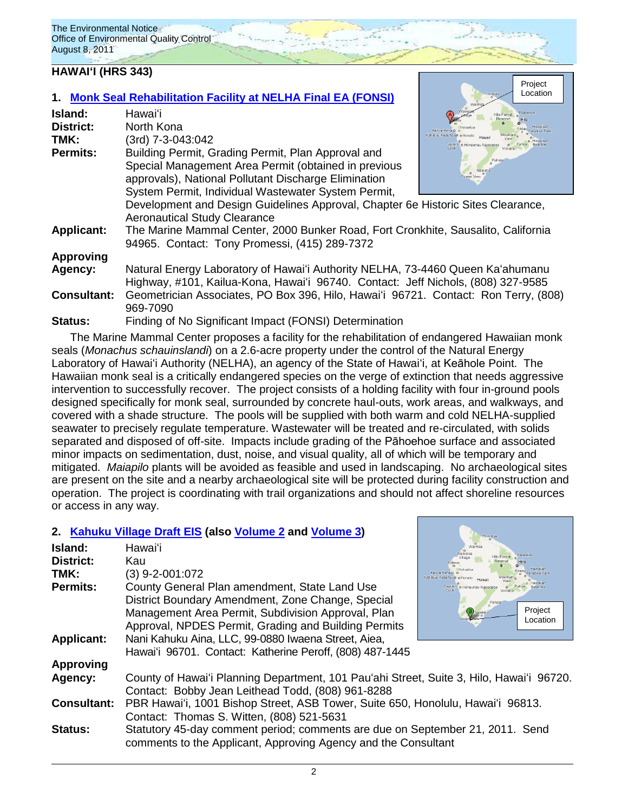## **HAWAIʻI (HRS 343)**

|                                                                                  | 1. Monk Seal Rehabilitation Facility at NELHA Final EA (FONSI)                      | Location                                         |  |
|----------------------------------------------------------------------------------|-------------------------------------------------------------------------------------|--------------------------------------------------|--|
| Island:                                                                          | Hawaiʻi                                                                             |                                                  |  |
| <b>District:</b>                                                                 | North Kona                                                                          |                                                  |  |
| TMK:                                                                             | (3rd) 7-3-043:042                                                                   | Kahaluu-Keauhouo o Honalo<br>Captain o Honaunau- |  |
| <b>Permits:</b>                                                                  | Building Permit, Grading Permit, Plan Approval and                                  |                                                  |  |
|                                                                                  | Special Management Area Permit (obtained in previous                                | Pahala                                           |  |
|                                                                                  | approvals), National Pollutant Discharge Elimination                                |                                                  |  |
|                                                                                  | System Permit, Individual Wastewater System Permit,                                 |                                                  |  |
| Development and Design Guidelines Approval, Chapter 6e Historic Sites Clearance, |                                                                                     |                                                  |  |
|                                                                                  | <b>Aeronautical Study Clearance</b>                                                 |                                                  |  |
| <b>Applicant:</b>                                                                | The Marine Mammal Center, 2000 Bunker Road, Fort Cronkhite, Sausalito, California   |                                                  |  |
|                                                                                  | 94965. Contact: Tony Promessi, (415) 289-7372                                       |                                                  |  |
| <b>Approving</b>                                                                 |                                                                                     |                                                  |  |
| Agency:                                                                          | Natural Energy Laboratory of Hawai'i Authority NELHA, 73-4460 Queen Ka'ahumanu      |                                                  |  |
| Highway, #101, Kailua-Kona, Hawai'i 96740. Contact: Jeff Nichols, (808) 327-9585 |                                                                                     |                                                  |  |
| <b>Consultant:</b>                                                               | Geometrician Associates, PO Box 396, Hilo, Hawai'i 96721. Contact: Ron Terry, (808) |                                                  |  |
|                                                                                  | 969-7090                                                                            |                                                  |  |
| Status:                                                                          | Finding of No Significant Impact (FONSI) Determination                              |                                                  |  |

Project Location

The Marine Mammal Center proposes a facility for the rehabilitation of endangered Hawaiian monk seals (*Monachus schauinslandi*) on a 2.6-acre property under the control of the Natural Energy Laboratory of Hawaiʻi Authority (NELHA), an agency of the State of Hawaiʻi, at Keāhole Point. The Hawaiian monk seal is a critically endangered species on the verge of extinction that needs aggressive intervention to successfully recover. The project consists of a holding facility with four in-ground pools designed specifically for monk seal, surrounded by concrete haul-outs, work areas, and walkways, and covered with a shade structure. The pools will be supplied with both warm and cold NELHA-supplied seawater to precisely regulate temperature. Wastewater will be treated and re-circulated, with solids separated and disposed of off-site. Impacts include grading of the Pāhoehoe surface and associated minor impacts on sedimentation, dust, noise, and visual quality, all of which will be temporary and mitigated. *Maiapilo* plants will be avoided as feasible and used in landscaping. No archaeological sites are present on the site and a nearby archaeological site will be protected during facility construction and operation. The project is coordinating with trail organizations and should not affect shoreline resources or access in any way.

## **2. [Kahuku Village](http://oeqc.doh.hawaii.gov/Shared%20Documents/EA_and_EIS_Online_Library/Hawaii/2010s/2011-08-08-DEIS-Kahuku-Village-Vol1.pdf) Draft EIS (also [Volume](http://oeqc.doh.hawaii.gov/Shared%20Documents/EA_and_EIS_Online_Library/Hawaii/2010s/2011-08-08-DEIS-Kahuku-Village-Vol2.pdf) 2 and [Volume 3\)](http://oeqc.doh.hawaii.gov/Shared%20Documents/EA_and_EIS_Online_Library/Hawaii/2010s/2011-08-08-DEIS-Kahuku-Village-Vol3.pdf)**

| Island:            | Hawai'i                                                                                  |                                           |
|--------------------|------------------------------------------------------------------------------------------|-------------------------------------------|
| <b>District:</b>   | Kau                                                                                      |                                           |
| TMK:               | $(3)$ 9-2-001:072                                                                        | Kailua Kona C<br>Kahaluu-Keauhouo o Honak |
| Permits:           | County General Plan amendment, State Land Use                                            | Captain o Honaunau-Napor                  |
|                    | District Boundary Amendment, Zone Change, Special                                        | Pahala                                    |
|                    | Management Area Permit, Subdivision Approval, Plan                                       | Project                                   |
|                    | Approval, NPDES Permit, Grading and Building Permits                                     | Location                                  |
| <b>Applicant:</b>  | Nani Kahuku Aina, LLC, 99-0880 Iwaena Street, Aiea,                                      |                                           |
|                    | Hawai'i 96701. Contact: Katherine Peroff, (808) 487-1445                                 |                                           |
| <b>Approving</b>   |                                                                                          |                                           |
| Agency:            | County of Hawai'i Planning Department, 101 Pau'ahi Street, Suite 3, Hilo, Hawai'i 96720. |                                           |
|                    | Contact: Bobby Jean Leithead Todd, (808) 961-8288                                        |                                           |
| <b>Consultant:</b> | PBR Hawai'i, 1001 Bishop Street, ASB Tower, Suite 650, Honolulu, Hawai'i 96813.          |                                           |
|                    | Contact: Thomas S. Witten, (808) 521-5631                                                |                                           |
| <b>Status:</b>     | Statutory 45-day comment period; comments are due on September 21, 2011. Send            |                                           |
|                    | comments to the Applicant, Approving Agency and the Consultant                           |                                           |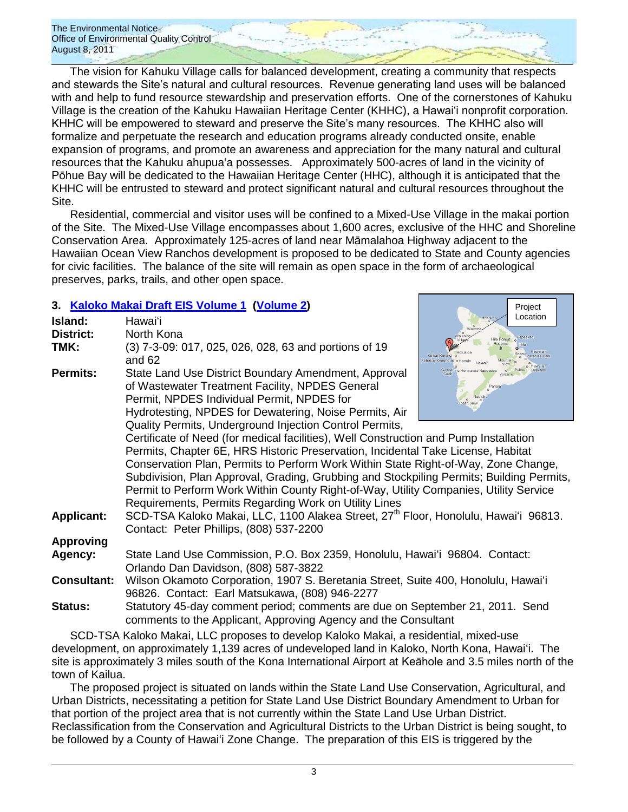The vision for Kahuku Village calls for balanced development, creating a community that respects and stewards the Site's natural and cultural resources. Revenue generating land uses will be balanced with and help to fund resource stewardship and preservation efforts. One of the cornerstones of Kahuku Village is the creation of the Kahuku Hawaiian Heritage Center (KHHC), a Hawaiʻi nonprofit corporation. KHHC will be empowered to steward and preserve the Site's many resources. The KHHC also will formalize and perpetuate the research and education programs already conducted onsite, enable expansion of programs, and promote an awareness and appreciation for the many natural and cultural resources that the Kahuku ahupuaʻa possesses. Approximately 500-acres of land in the vicinity of Pōhue Bay will be dedicated to the Hawaiian Heritage Center (HHC), although it is anticipated that the KHHC will be entrusted to steward and protect significant natural and cultural resources throughout the Site.

Residential, commercial and visitor uses will be confined to a Mixed-Use Village in the makai portion of the Site. The Mixed-Use Village encompasses about 1,600 acres, exclusive of the HHC and Shoreline Conservation Area. Approximately 125-acres of land near Māmalahoa Highway adjacent to the Hawaiian Ocean View Ranchos development is proposed to be dedicated to State and County agencies for civic facilities. The balance of the site will remain as open space in the form of archaeological preserves, parks, trails, and other open space.

Project

## **3. [Kaloko Makai](http://oeqc.doh.hawaii.gov/Shared%20Documents/EA_and_EIS_Online_Library/Hawaii/2010s/2011-08-08-DEIS-Kaloko-%20Makai-Vol1.pdf) Draft EIS Volume 1 [\(Volume 2\)](http://oeqc.doh.hawaii.gov/Shared%20Documents/EA_and_EIS_Online_Library/Hawaii/2010s/2011-08-08-DEIS-Kaloko-%20Makai-Vol2.pdf)**

| Island:<br><b>District:</b> | Hawaiʻi<br>North Kona                                                                                                                                                                                                                                                                                                            | Location<br>Honokaa<br>Waikol                               |  |
|-----------------------------|----------------------------------------------------------------------------------------------------------------------------------------------------------------------------------------------------------------------------------------------------------------------------------------------------------------------------------|-------------------------------------------------------------|--|
| TMK:                        | (3) 7-3-09: 017, 025, 026, 028, 63 and portions of 19<br>and 62                                                                                                                                                                                                                                                                  | illo Forest<br>Kailua Kona O o<br>Cahaluu-Keauhouo o Honalo |  |
| <b>Permits:</b>             | State Land Use District Boundary Amendment, Approval<br>of Wastewater Treatment Facility, NPDES General<br>Permit, NPDES Individual Permit, NPDES for<br>Hydrotesting, NPDES for Dewatering, Noise Permits, Air                                                                                                                  | Captain o Honaunau-Napoop<br>Pahala<br>Naalehu              |  |
|                             | Quality Permits, Underground Injection Control Permits,                                                                                                                                                                                                                                                                          |                                                             |  |
|                             | Certificate of Need (for medical facilities), Well Construction and Pump Installation<br>Permits, Chapter 6E, HRS Historic Preservation, Incidental Take License, Habitat                                                                                                                                                        |                                                             |  |
|                             | Conservation Plan, Permits to Perform Work Within State Right-of-Way, Zone Change,<br>Subdivision, Plan Approval, Grading, Grubbing and Stockpiling Permits; Building Permits,<br>Permit to Perform Work Within County Right-of-Way, Utility Companies, Utility Service<br>Requirements, Permits Regarding Work on Utility Lines |                                                             |  |
| <b>Applicant:</b>           | SCD-TSA Kaloko Makai, LLC, 1100 Alakea Street, 27 <sup>th</sup> Floor, Honolulu, Hawai'i 96813.<br>Contact: Peter Phillips, (808) 537-2200                                                                                                                                                                                       |                                                             |  |
| <b>Approving</b>            |                                                                                                                                                                                                                                                                                                                                  |                                                             |  |
| Agency:                     | State Land Use Commission, P.O. Box 2359, Honolulu, Hawai'i 96804. Contact:<br>Orlando Dan Davidson, (808) 587-3822                                                                                                                                                                                                              |                                                             |  |
| <b>Consultant:</b>          | Wilson Okamoto Corporation, 1907 S. Beretania Street, Suite 400, Honolulu, Hawai'i<br>96826. Contact: Earl Matsukawa, (808) 946-2277                                                                                                                                                                                             |                                                             |  |
| <b>Status:</b>              | Statutory 45-day comment period; comments are due on September 21, 2011. Send<br>comments to the Applicant, Approving Agency and the Consultant                                                                                                                                                                                  |                                                             |  |

SCD-TSA Kaloko Makai, LLC proposes to develop Kaloko Makai, a residential, mixed-use development, on approximately 1,139 acres of undeveloped land in Kaloko, North Kona, Hawaiʻi. The site is approximately 3 miles south of the Kona International Airport at Keāhole and 3.5 miles north of the town of Kailua.

The proposed project is situated on lands within the State Land Use Conservation, Agricultural, and Urban Districts, necessitating a petition for State Land Use District Boundary Amendment to Urban for that portion of the project area that is not currently within the State Land Use Urban District. Reclassification from the Conservation and Agricultural Districts to the Urban District is being sought, to be followed by a County of Hawaiʻi Zone Change. The preparation of this EIS is triggered by the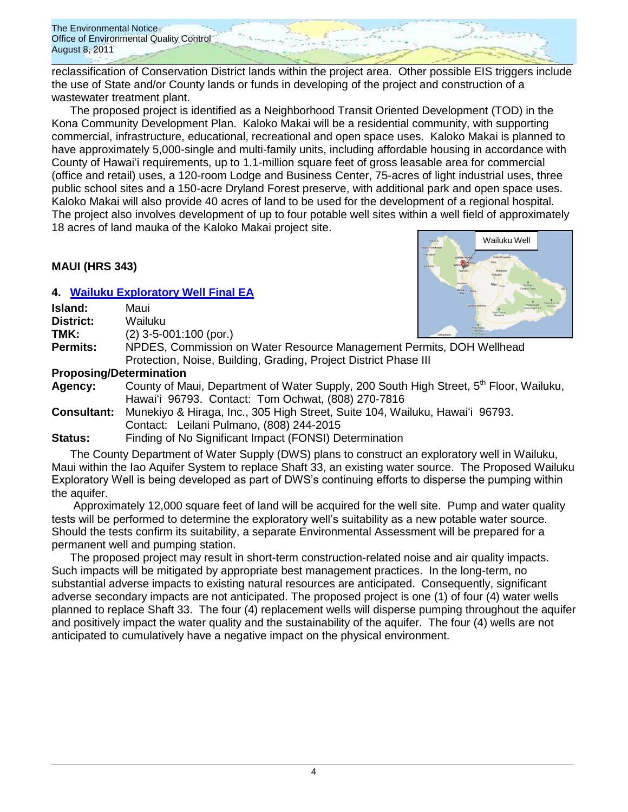reclassification of Conservation District lands within the project area. Other possible EIS triggers include the use of State and/or County lands or funds in developing of the project and construction of a wastewater treatment plant.

The proposed project is identified as a Neighborhood Transit Oriented Development (TOD) in the Kona Community Development Plan. Kaloko Makai will be a residential community, with supporting commercial, infrastructure, educational, recreational and open space uses. Kaloko Makai is planned to have approximately 5,000-single and multi-family units, including affordable housing in accordance with County of Hawaiʻi requirements, up to 1.1-million square feet of gross leasable area for commercial (office and retail) uses, a 120-room Lodge and Business Center, 75-acres of light industrial uses, three public school sites and a 150-acre Dryland Forest preserve, with additional park and open space uses. Kaloko Makai will also provide 40 acres of land to be used for the development of a regional hospital. The project also involves development of up to four potable well sites within a well field of approximately 18 acres of land mauka of the Kaloko Makai project site.

## **MAUI (HRS 343)**

## **4. [Wailuku Exploratory Well](http://oeqc.doh.hawaii.gov/Shared%20Documents/EA_and_EIS_Online_Library/Maui/2010s/2011-08-08-FEA-Wailuku-Exploratory-Well.pdf) Final EA**

| Island:   | Maui                     |  |
|-----------|--------------------------|--|
| District: | Wailuku                  |  |
| TMV.      | $(0)$ $\Omega$ $E$ $(0)$ |  |

**TMK:** (2) 3-5-001:100 (por.)



**Permits:** NPDES, Commission on Water Resource Management Permits, DOH Wellhead Protection, Noise, Building, Grading, Project District Phase III

### **Proposing/Determination**

**Agency:** County of Maui, Department of Water Supply, 200 South High Street, 5<sup>th</sup> Floor, Wailuku, Hawaiʻi 96793. Contact: Tom Ochwat, (808) 270-7816

**Consultant:** Munekiyo & Hiraga, Inc., 305 High Street, Suite 104, Wailuku, Hawaiʻi 96793. Contact: Leilani Pulmano, (808) 244-2015

**Status:** Finding of No Significant Impact (FONSI) Determination

The County Department of Water Supply (DWS) plans to construct an exploratory well in Wailuku, Maui within the Iao Aquifer System to replace Shaft 33, an existing water source. The Proposed Wailuku Exploratory Well is being developed as part of DWS's continuing efforts to disperse the pumping within the aquifer.

Approximately 12,000 square feet of land will be acquired for the well site. Pump and water quality tests will be performed to determine the exploratory well's suitability as a new potable water source. Should the tests confirm its suitability, a separate Environmental Assessment will be prepared for a permanent well and pumping station.

The proposed project may result in short-term construction-related noise and air quality impacts. Such impacts will be mitigated by appropriate best management practices. In the long-term, no substantial adverse impacts to existing natural resources are anticipated. Consequently, significant adverse secondary impacts are not anticipated. The proposed project is one (1) of four (4) water wells planned to replace Shaft 33. The four (4) replacement wells will disperse pumping throughout the aquifer and positively impact the water quality and the sustainability of the aquifer. The four (4) wells are not anticipated to cumulatively have a negative impact on the physical environment.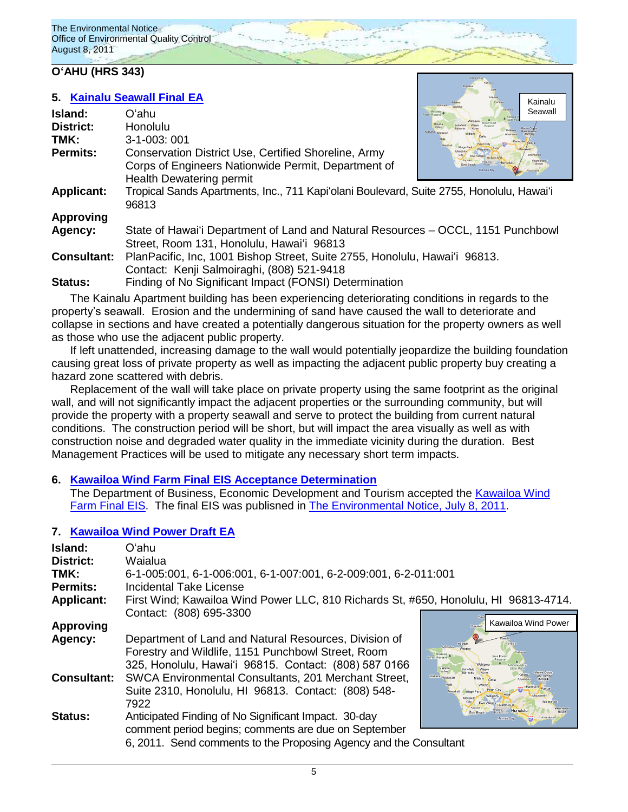## **OʻAHU (HRS 343)**

### **5. [Kainalu Seawall](http://oeqc.doh.hawaii.gov/Shared%20Documents/EA_and_EIS_Online_Library/Oahu/2010s/2011-08-08-FEA-Kainalu-Seawall.pdf) Final EA**

| Island:            | Oʻahu                                                                                             | Kaaswa<br>Seawall<br>Forest Reserv<br>Kahana V |
|--------------------|---------------------------------------------------------------------------------------------------|------------------------------------------------|
| <b>District:</b>   | Honolulu                                                                                          | Makaha Waiana                                  |
| TMK:               | $3 - 1 - 003$ ; 001                                                                               | Nanaku                                         |
| <b>Permits:</b>    | Conservation District Use, Certified Shoreline, Army                                              | <b>Village Par</b>                             |
|                    | Corps of Engineers Nationwide Permit, Department of<br>Health Dewatering permit                   |                                                |
| <b>Applicant:</b>  | Tropical Sands Apartments, Inc., 711 Kapi'olani Boulevard, Suite 2755, Honolulu, Hawai'i<br>96813 |                                                |
| <b>Approving</b>   |                                                                                                   |                                                |
| Agency:            | State of Hawai'i Department of Land and Natural Resources – OCCL, 1151 Punchbowl                  |                                                |
|                    | Street, Room 131, Honolulu, Hawai'i 96813                                                         |                                                |
| <b>Consultant:</b> | PlanPacific, Inc, 1001 Bishop Street, Suite 2755, Honolulu, Hawai'i 96813.                        |                                                |
|                    | Contact: Kenji Salmoiraghi, (808) 521-9418                                                        |                                                |
| <b>Status:</b>     | Finding of No Significant Impact (FONSI) Determination                                            |                                                |

Kainalu

The Kainalu Apartment building has been experiencing deteriorating conditions in regards to the property's seawall. Erosion and the undermining of sand have caused the wall to deteriorate and collapse in sections and have created a potentially dangerous situation for the property owners as well as those who use the adjacent public property.

If left unattended, increasing damage to the wall would potentially jeopardize the building foundation causing great loss of private property as well as impacting the adjacent public property buy creating a hazard zone scattered with debris.

Replacement of the wall will take place on private property using the same footprint as the original wall, and will not significantly impact the adjacent properties or the surrounding community, but will provide the property with a property seawall and serve to protect the building from current natural conditions. The construction period will be short, but will impact the area visually as well as with construction noise and degraded water quality in the immediate vicinity during the duration. Best Management Practices will be used to mitigate any necessary short term impacts.

## **6. Kawailoa Wind Farm Final [EIS Acceptance Determination](http://oeqc.doh.hawaii.gov/Shared%20Documents/EA_and_EIS_Online_Library/Oahu/2010s/2011-08--08-FEIS-Kawailoa-Wind-Farm-Acceptance-Determination.pdf)**

The Department of Business, Economic Development and Tourism accepted the [Kawailoa Wind](http://oeqc.doh.hawaii.gov/Shared%20Documents/EA_and_EIS_Online_Library/Oahu/2010s/2011-07-08-FEIS-Kawailoa-Wind-Farm.pdf)  Farm [Final EIS.](http://oeqc.doh.hawaii.gov/Shared%20Documents/EA_and_EIS_Online_Library/Oahu/2010s/2011-07-08-FEIS-Kawailoa-Wind-Farm.pdf) The final EIS was publisned in [The Environmental Notice,](http://oeqc.doh.hawaii.gov/Shared%20Documents/Environmental_Notice/Archives/2010s/2011-07-08.pdf) July 8, 2011.

## **7. [Kawailoa Wind Power Draft](http://oeqc.doh.hawaii.gov/Shared%20Documents/EA_and_EIS_Online_Library/Oahu/2010s/2011-08-08-DEA-Kawailoa-Wind-Power-Habitat-Conservation-Plan.pdf) EA**

| Island:<br><b>District:</b><br>TMK:<br>Permits:<br><b>Applicant:</b> | Oʻahu<br>Waialua<br><b>Incidental Take License</b>                                                                                                                                | 6-1-005:001, 6-1-006:001, 6-1-007:001, 6-2-009:001, 6-2-011:001<br>First Wind; Kawailoa Wind Power LLC, 810 Richards St, #650, Honolulu, HI 96813-4714. |  |
|----------------------------------------------------------------------|-----------------------------------------------------------------------------------------------------------------------------------------------------------------------------------|---------------------------------------------------------------------------------------------------------------------------------------------------------|--|
|                                                                      | Contact: (808) 695-3300                                                                                                                                                           | Kawailoa Wind Power                                                                                                                                     |  |
| <b>Approving</b>                                                     |                                                                                                                                                                                   | Pupuker                                                                                                                                                 |  |
| Agency:                                                              | Department of Land and Natural Resources, Division of<br>Forestry and Wildlife, 1151 Punchbowl Street, Room<br>325, Honolulu, Hawai'i 96815. Contact: (808) 587 0166              | <b>Punatuu</b><br>Halelwa<br>Mokritein.<br>Mokuleia <sub> a</sub><br><b>Eorest Reserve</b><br>Wahiaw<br>Makaha<br><b>Valley</b>                         |  |
| <b>Consultant:</b>                                                   | SWCA Environmental Consultants, 201 Merchant Street,<br>Suite 2310, Honolulu, HI 96813. Contact: (808) 548-<br>7922                                                               | Makaha<br>Wajan<br>Vilage Park<br>Nanakuli<br><b>Hickam AFB</b>                                                                                         |  |
| <b>Status:</b>                                                       | Anticipated Finding of No Significant Impact. 30-day<br>comment period begins; comments are due on September<br>6, 2011. Send comments to the Proposing Agency and the Consultant | Honolulu<br>Mamala Bay                                                                                                                                  |  |

5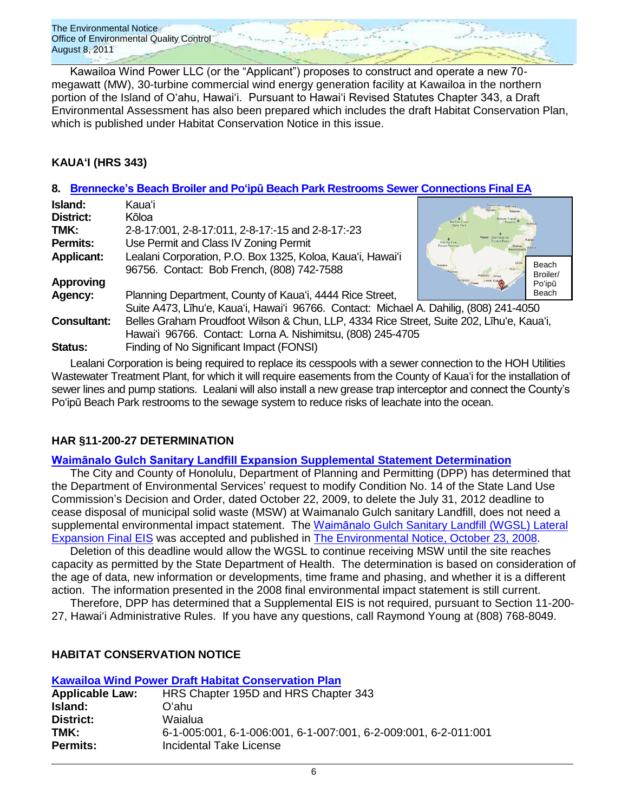Kawailoa Wind Power LLC (or the "Applicant") proposes to construct and operate a new 70megawatt (MW), 30-turbine commercial wind energy generation facility at Kawailoa in the northern portion of the Island of Oʻahu, Hawaiʻi. Pursuant to Hawaiʻi Revised Statutes Chapter 343, a Draft Environmental Assessment has also been prepared which includes the draft Habitat Conservation Plan, which is published under Habitat Conservation Notice in this issue.

## **KAUAʻI (HRS 343)**

## **8. Brennecke's Beach Broiler and Poʻipū [Beach Park Restrooms Sewer Connections](http://oeqc.doh.hawaii.gov/Shared%20Documents/EA_and_EIS_Online_Library/Kauai/2010s/2011-08-08-FEA-Brennecke-and-Poipu-Beach-Park-Restroom-Sewer.pdf) Final EA**

| Island:            | Kauaʻi                                                                                                   |                                                                                |  |
|--------------------|----------------------------------------------------------------------------------------------------------|--------------------------------------------------------------------------------|--|
| District:          | Kōloa                                                                                                    | Na Pali Coas                                                                   |  |
| TMK:               | 2-8-17:001, 2-8-17:011, 2-8-17:-15 and 2-8-17:-23                                                        | State Park                                                                     |  |
| <b>Permits:</b>    | Use Permit and Class IV Zoning Permit                                                                    | Kayai Mamalahoa<br>Kanas<br><b>Forest Resy</b><br>Puu Ka Pele<br>Forest Reserv |  |
| <b>Applicant:</b>  | Lealani Corporation, P.O. Box 1325, Koloa, Kaua'i, Hawai'i<br>96756. Contact: Bob French, (808) 742-7588 | Beach<br>Kekaha<br>Broiler/                                                    |  |
| <b>Approving</b>   |                                                                                                          | Po'ipū                                                                         |  |
| Agency:            | Planning Department, County of Kaua'i, 4444 Rice Street,                                                 | Beach                                                                          |  |
|                    | Suite A473, Līhu'e, Kaua'i, Hawai'i 96766. Contact: Michael A. Dahilig, (808) 241-4050                   |                                                                                |  |
| <b>Consultant:</b> | Belles Graham Proudfoot Wilson & Chun, LLP, 4334 Rice Street, Suite 202, Līhu'e, Kaua'i,                 |                                                                                |  |
|                    | Hawai'i 96766. Contact: Lorna A. Nishimitsu, (808) 245-4705                                              |                                                                                |  |
| Status:            | Finding of No Significant Impact (FONSI)                                                                 |                                                                                |  |

Lealani Corporation is being required to replace its cesspools with a sewer connection to the HOH Utilities Wastewater Treatment Plant, for which it will require easements from the County of Kauaʻi for the installation of sewer lines and pump stations. Lealani will also install a new grease trap interceptor and connect the County's Poʻipū Beach Park restrooms to the sewage system to reduce risks of leachate into the ocean.

## **HAR §11-200-27 DETERMINATION**

## **[Waimānalo Gulch Sanitary Landfill Expansion](http://oeqc.doh.hawaii.gov/Shared%20Documents/EA_and_EIS_Online_Library/Oahu/2010s/2011-08-08-Waimanalo-Gulch-11-200-27-HAR-Determination.pdf) Supplemental Statement Determination**

The City and County of Honolulu, Department of Planning and Permitting (DPP) has determined that the Department of Environmental Services' request to modify Condition No. 14 of the State Land Use Commission's Decision and Order, dated October 22, 2009, to delete the July 31, 2012 deadline to cease disposal of municipal solid waste (MSW) at Waimanalo Gulch sanitary Landfill, does not need a supplemental environmental impact statement. The [Waimānalo Gulch Sanitary Landfill](http://oeqc.doh.hawaii.gov/Shared%20Documents/EA_and_EIS_Online_Library/Oahu/2000s/2008-10-23-OA-FEIS-Waimanalo-Gulch-Sanitary-Landfill-Expansion-Vol-1.pdf) (WGSL) Lateral [Expansion Final EIS](http://oeqc.doh.hawaii.gov/Shared%20Documents/EA_and_EIS_Online_Library/Oahu/2000s/2008-10-23-OA-FEIS-Waimanalo-Gulch-Sanitary-Landfill-Expansion-Vol-1.pdf) was accepted and published in The [Environmental Notice,](http://oeqc.doh.hawaii.gov/Shared%20Documents/Environmental_Notice/Archives/2000s/2008_Env_Notice/2008-10-23.pdf) October 23, 2008.

Deletion of this deadline would allow the WGSL to continue receiving MSW until the site reaches capacity as permitted by the State Department of Health. The determination is based on consideration of the age of data, new information or developments, time frame and phasing, and whether it is a different action. The information presented in the 2008 final environmental impact statement is still current.

Therefore, DPP has determined that a Supplemental EIS is not required, pursuant to Section 11-200- 27, Hawaiʻi Administrative Rules. If you have any questions, call Raymond Young at (808) 768-8049.

## **HABITAT CONSERVATION NOTICE**

| <b>Kawailoa Wind Power Draft Habitat Conservation Plan</b> |                                                                 |  |  |
|------------------------------------------------------------|-----------------------------------------------------------------|--|--|
| <b>Applicable Law:</b>                                     | HRS Chapter 195D and HRS Chapter 343                            |  |  |
| Island:                                                    | Oʻahu.                                                          |  |  |
| <b>District:</b>                                           | Waialua                                                         |  |  |
| TMK:                                                       | 6-1-005:001, 6-1-006:001, 6-1-007:001, 6-2-009:001, 6-2-011:001 |  |  |
| Permits:                                                   | Incidental Take License                                         |  |  |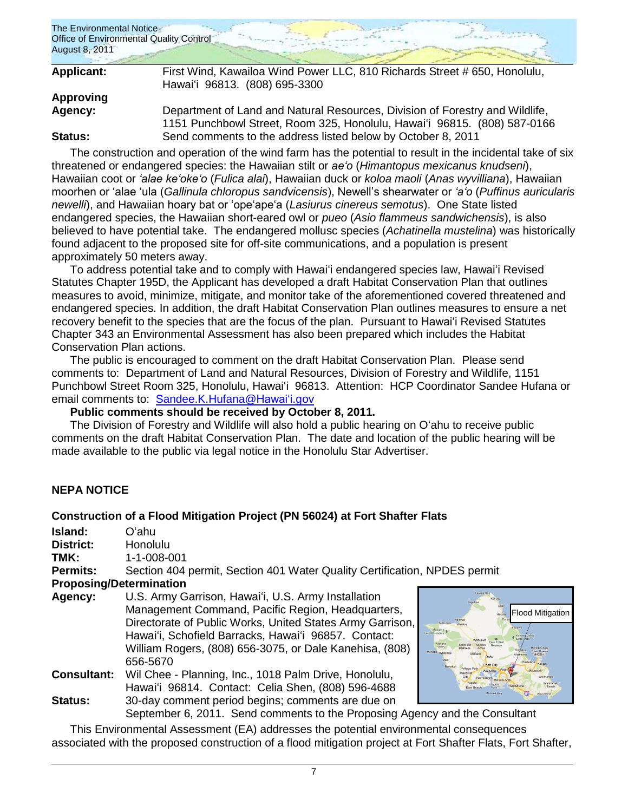

| <b>Applicant:</b> | First Wind, Kawailoa Wind Power LLC, 810 Richards Street # 650, Honolulu,<br>Hawai'i 96813. (808) 695-3300                                               |
|-------------------|----------------------------------------------------------------------------------------------------------------------------------------------------------|
| Approving         |                                                                                                                                                          |
| Agency:           | Department of Land and Natural Resources, Division of Forestry and Wildlife,<br>1151 Punchbowl Street, Room 325, Honolulu, Hawai'i 96815. (808) 587-0166 |
| <b>Status:</b>    | Send comments to the address listed below by October 8, 2011                                                                                             |

The construction and operation of the wind farm has the potential to result in the incidental take of six threatened or endangered species: the Hawaiian stilt or *ae'o* (*Himantopus mexicanus knudseni*), Hawaiian coot or *'alae ke'oke'o* (*Fulica alai*), Hawaiian duck or *koloa maoli* (*Anas wyvilliana*), Hawaiian moorhen or ‗alae ‗ula (*Gallinula chloropus sandvicensis*), Newell's shearwater or *'a'o* (*Puffinus auricularis newelli*), and Hawaiian hoary bat or ‗ope‗ape‗a (*Lasiurus cinereus semotus*). One State listed endangered species, the Hawaiian short-eared owl or *pueo* (*Asio flammeus sandwichensis*), is also believed to have potential take. The endangered mollusc species (*Achatinella mustelina*) was historically found adjacent to the proposed site for off-site communications, and a population is present approximately 50 meters away.

To address potential take and to comply with Hawaiʻi endangered species law, Hawaiʻi Revised Statutes Chapter 195D, the Applicant has developed a draft Habitat Conservation Plan that outlines measures to avoid, minimize, mitigate, and monitor take of the aforementioned covered threatened and endangered species. In addition, the draft Habitat Conservation Plan outlines measures to ensure a net recovery benefit to the species that are the focus of the plan. Pursuant to Hawaiʻi Revised Statutes Chapter 343 an Environmental Assessment has also been prepared which includes the Habitat Conservation Plan actions.

The public is encouraged to comment on the draft Habitat Conservation Plan. Please send comments to: Department of Land and Natural Resources, Division of Forestry and Wildlife, 1151 Punchbowl Street Room 325, Honolulu, Hawaiʻi 96813. Attention: HCP Coordinator Sandee Hufana or email comments to: [Sandee.K.Hufana@Hawaiʻi.gov](mailto:Sandee.K.Hufana@hawaii.gov)

## **Public comments should be received by October 8, 2011.**

The Division of Forestry and Wildlife will also hold a public hearing on Oʻahu to receive public comments on the draft Habitat Conservation Plan. The date and location of the public hearing will be made available to the public via legal notice in the Honolulu Star Advertiser.

## **NEPA NOTICE**

## **Construction of a Flood Mitigation Project (PN 56024) at Fort Shafter Flats**

**Island:** Oʻahu **District:** Honolulu

**TMK:** 1-1-008-001

**Permits:** Section 404 permit, Section 401 Water Quality Certification, NPDES permit

### **Proposing/Determination**

- **Agency:** U.S. Army Garrison, Hawaiʻi, U.S. Army Installation Management Command, Pacific Region, Headquarters, Directorate of Public Works, United States Army Garrison, Hawaiʻi, Schofield Barracks, Hawaiʻi 96857. Contact: William Rogers, (808) 656-3075, or Dale Kanehisa, (808) 656-5670 **Consultant:** Wil Chee - Planning, Inc., 1018 Palm Drive, Honolulu,
- Hawaiʻi 96814. Contact: Celia Shen, (808) 596-4688 **Status:** 30-day comment period begins; comments are due on September 6, 2011. Send comments to the Proposing Agency and the Consultant



This Environmental Assessment (EA) addresses the potential environmental consequences associated with the proposed construction of a flood mitigation project at Fort Shafter Flats, Fort Shafter,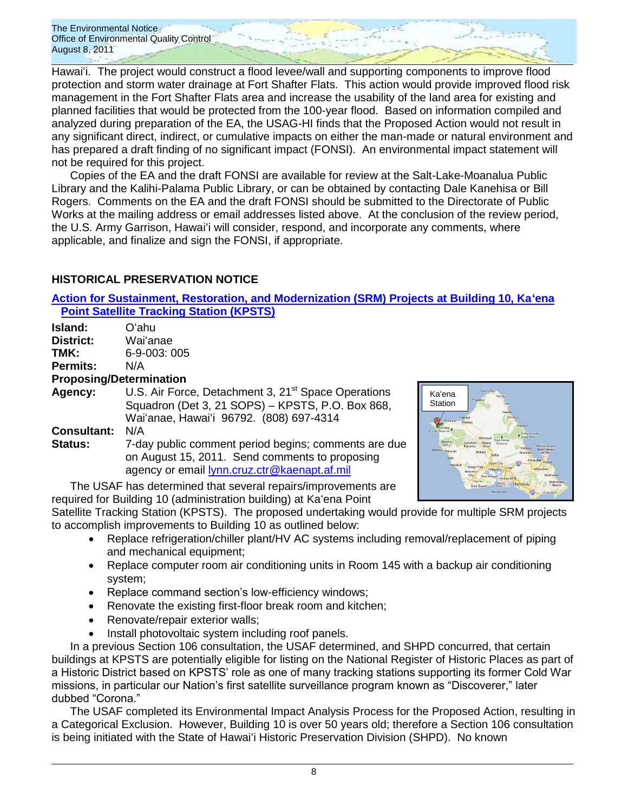Hawaiʻi. The project would construct a flood levee/wall and supporting components to improve flood protection and storm water drainage at Fort Shafter Flats. This action would provide improved flood risk management in the Fort Shafter Flats area and increase the usability of the land area for existing and planned facilities that would be protected from the 100-year flood. Based on information compiled and analyzed during preparation of the EA, the USAG-HI finds that the Proposed Action would not result in any significant direct, indirect, or cumulative impacts on either the man-made or natural environment and has prepared a draft finding of no significant impact (FONSI). An environmental impact statement will not be required for this project.

Copies of the EA and the draft FONSI are available for review at the Salt-Lake-Moanalua Public Library and the Kalihi-Palama Public Library, or can be obtained by contacting Dale Kanehisa or Bill Rogers. Comments on the EA and the draft FONSI should be submitted to the Directorate of Public Works at the mailing address or email addresses listed above. At the conclusion of the review period, the U.S. Army Garrison, Hawaiʻi will consider, respond, and incorporate any comments, where applicable, and finalize and sign the FONSI, if appropriate.

## **HISTORICAL PRESERVATION NOTICE**

**[Action for Sustainment, Restoration, and Modernization \(SRM\) Projects at Building 10, Kaʻena](http://oeqc.doh.hawaii.gov/Shared%20Documents/EA_and_EIS_Online_Library/NEPA%20and%20Other%20Documents/2011-08-08-Historical%20Notice-Kaena-Point-Satellite-Tracking-Station.pdf)  Point [Satellite Tracking Station \(KPSTS\)](http://oeqc.doh.hawaii.gov/Shared%20Documents/EA_and_EIS_Online_Library/NEPA%20and%20Other%20Documents/2011-08-08-Historical%20Notice-Kaena-Point-Satellite-Tracking-Station.pdf)**

| Island:         | Oʻahu                          |
|-----------------|--------------------------------|
| District:       | Wai'anae                       |
| TMK:            | 6-9-003:005                    |
| <b>Permits:</b> | N/A                            |
|                 | <b>Proposing/Determination</b> |
| <b>Agency:</b>  | U.S. Air Force, Detachment     |

3, 21<sup>st</sup> Space Operations Squadron (Det 3, 21 SOPS) – KPSTS, P.O. Box 868, Waiʻanae, Hawaiʻi 96792. (808) 697-4314 **Consultant:** N/A

**Status:** 7-day public comment period begins; comments are due on August 15, 2011. Send comments to proposing agency or email **lynn.cruz.ctr@kaenapt.af.mil** 



The USAF has determined that several repairs/improvements are required for Building 10 (administration building) at Kaʻena Point

Satellite Tracking Station (KPSTS). The proposed undertaking would provide for multiple SRM projects to accomplish improvements to Building 10 as outlined below:

- Replace refrigeration/chiller plant/HV AC systems including removal/replacement of piping and mechanical equipment;
- Replace computer room air conditioning units in Room 145 with a backup air conditioning system;
- Replace command section's low-efficiency windows;
- Renovate the existing first-floor break room and kitchen;
- Renovate/repair exterior walls;
- Install photovoltaic system including roof panels.

In a previous Section 106 consultation, the USAF determined, and SHPD concurred, that certain buildings at KPSTS are potentially eligible for listing on the National Register of Historic Places as part of a Historic District based on KPSTS' role as one of many tracking stations supporting its former Cold War missions, in particular our Nation's first satellite surveillance program known as "Discoverer," later dubbed "Corona."

The USAF completed its Environmental Impact Analysis Process for the Proposed Action, resulting in a Categorical Exclusion. However, Building 10 is over 50 years old; therefore a Section 106 consultation is being initiated with the State of Hawaiʻi Historic Preservation Division (SHPD). No known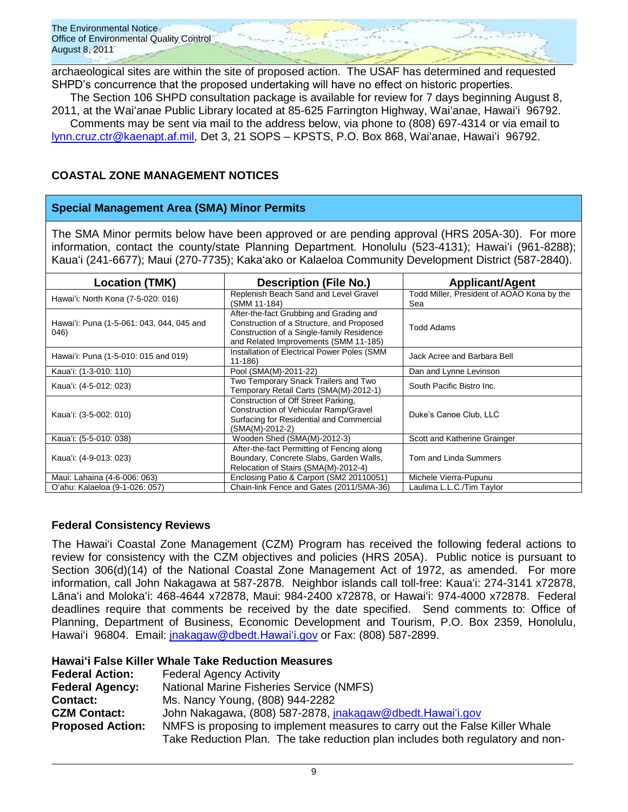archaeological sites are within the site of proposed action. The USAF has determined and requested SHPD's concurrence that the proposed undertaking will have no effect on historic properties.

The Section 106 SHPD consultation package is available for review for 7 days beginning August 8, 2011, at the Waiʻanae Public Library located at 85-625 Farrington Highway, Waiʻanae, Hawaiʻi 96792.

Comments may be sent via mail to the address below, via phone to (808) 697-4314 or via email to [lynn.cruz.ctr@kaenapt.af.mil,](mailto:lynn.cruz.ctr@kaenapt.af.mil) Det 3, 21 SOPS – KPSTS, P.O. Box 868, Waiʻanae, Hawaiʻi 96792.

## **COASTAL ZONE MANAGEMENT NOTICES**

## **Special Management Area (SMA) Minor Permits**

The SMA Minor permits below have been approved or are pending approval (HRS 205A-30). For more information, contact the county/state Planning Department. Honolulu (523-4131); Hawaiʻi (961-8288); Kauaʻi (241-6677); Maui (270-7735); Kakaʻako or Kalaeloa Community Development District (587-2840).

| <b>Location (TMK)</b>                             | <b>Description (File No.)</b>                                                                                                                                              | <b>Applicant/Agent</b>                            |
|---------------------------------------------------|----------------------------------------------------------------------------------------------------------------------------------------------------------------------------|---------------------------------------------------|
| Hawai'i: North Kona (7-5-020: 016)                | Replenish Beach Sand and Level Gravel<br>(SMM 11-184)                                                                                                                      | Todd Miller, President of AOAO Kona by the<br>Sea |
| Hawai'i: Puna (1-5-061: 043, 044, 045 and<br>046) | After-the-fact Grubbing and Grading and<br>Construction of a Structure, and Proposed<br>Construction of a Single-family Residence<br>and Related Improvements (SMM 11-185) | <b>Todd Adams</b>                                 |
| Hawai'i: Puna (1-5-010: 015 and 019)              | Installation of Electrical Power Poles (SMM<br>$11 - 186$                                                                                                                  | Jack Acree and Barbara Bell                       |
| Kaua'i: (1-3-010: 110)                            | Pool (SMA(M)-2011-22)                                                                                                                                                      | Dan and Lynne Levinson                            |
| Kaua'i: (4-5-012: 023)                            | Two Temporary Snack Trailers and Two<br>Temporary Retail Carts (SMA(M)-2012-1)                                                                                             | South Pacific Bistro Inc.                         |
| Kaua'i: (3-5-002: 010)                            | Construction of Off Street Parking.<br>Construction of Vehicular Ramp/Gravel<br>Surfacing for Residential and Commercial<br>(SMA(M)-2012-2)                                | Duke's Canoe Club, LLC                            |
| Kaua'i: (5-5-010: 038)                            | Wooden Shed (SMA(M)-2012-3)                                                                                                                                                | Scott and Katherine Grainger                      |
| Kaua'i: (4-9-013: 023)                            | After-the-fact Permitting of Fencing along<br>Boundary, Concrete Slabs, Garden Walls,<br>Relocation of Stairs (SMA(M)-2012-4)                                              | Tom and Linda Summers                             |
| Maui: Lahaina (4-6-006: 063)                      | Enclosing Patio & Carport (SM2 20110051)                                                                                                                                   | Michele Vierra-Pupunu                             |
| O'ahu: Kalaeloa (9-1-026: 057)                    | Chain-link Fence and Gates (2011/SMA-36)                                                                                                                                   | Laulima L.L.C./Tim Taylor                         |

## **Federal Consistency Reviews**

The Hawaiʻi Coastal Zone Management (CZM) Program has received the following federal actions to review for consistency with the CZM objectives and policies (HRS 205A). Public notice is pursuant to Section 306(d)(14) of the National Coastal Zone Management Act of 1972, as amended. For more information, call John Nakagawa at 587-2878. Neighbor islands call toll-free: Kauaʻi: 274-3141 x72878, Lānaʻi and Molokaʻi: 468-4644 x72878, Maui: 984-2400 x72878, or Hawaiʻi: 974-4000 x72878. Federal deadlines require that comments be received by the date specified. Send comments to: Office of Planning, Department of Business, Economic Development and Tourism, P.O. Box 2359, Honolulu, Hawaiʻi 96804. Email: [jnakagaw@dbedt.Hawaiʻi.gov](mailto:jnakagaw@dbedt.hawaii.gov) or Fax: (808) 587-2899.

## **Hawaiʻi False Killer Whale Take Reduction Measures**

| <b>Federal Action:</b>  | <b>Federal Agency Activity</b>                                                 |  |  |
|-------------------------|--------------------------------------------------------------------------------|--|--|
| <b>Federal Agency:</b>  | <b>National Marine Fisheries Service (NMFS)</b>                                |  |  |
| <b>Contact:</b>         | Ms. Nancy Young, (808) 944-2282                                                |  |  |
| <b>CZM Contact:</b>     | John Nakagawa, (808) 587-2878, jnakagaw@dbedt.Hawai'i.gov                      |  |  |
| <b>Proposed Action:</b> | NMFS is proposing to implement measures to carry out the False Killer Whale    |  |  |
|                         | Take Reduction Plan. The take reduction plan includes both regulatory and non- |  |  |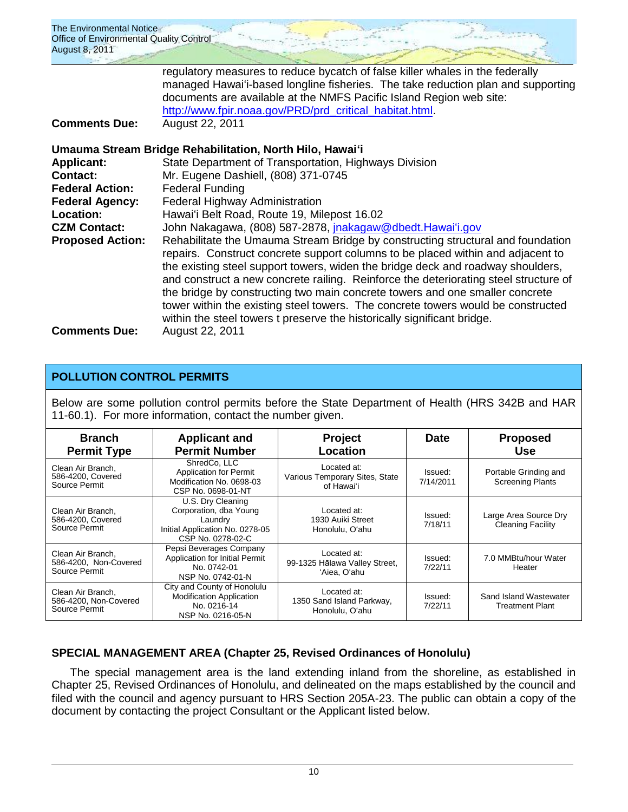| The Environmental Notice                |  |  |
|-----------------------------------------|--|--|
| Office of Environmental Quality Control |  |  |
| August 8, 2011                          |  |  |
|                                         |  |  |

regulatory measures to reduce bycatch of false killer whales in the federally managed Hawaiʻi-based longline fisheries. The take reduction plan and supporting documents are available at the NMFS Pacific Island Region web site: [http://www.fpir.noaa.gov/PRD/prd\\_critical\\_habitat.html.](http://www.fpir.noaa.gov/PRD/prd_critical_habitat.html)

**Comments Due:** August 22, 2011

|                         | Umauma Stream Bridge Rehabilitation, North Hilo, Hawai'i                                                                                                                                                                                                                                                                                                                                                                                                                                                                                                                                     |
|-------------------------|----------------------------------------------------------------------------------------------------------------------------------------------------------------------------------------------------------------------------------------------------------------------------------------------------------------------------------------------------------------------------------------------------------------------------------------------------------------------------------------------------------------------------------------------------------------------------------------------|
| <b>Applicant:</b>       | State Department of Transportation, Highways Division                                                                                                                                                                                                                                                                                                                                                                                                                                                                                                                                        |
| <b>Contact:</b>         | Mr. Eugene Dashiell, (808) 371-0745                                                                                                                                                                                                                                                                                                                                                                                                                                                                                                                                                          |
| <b>Federal Action:</b>  | <b>Federal Funding</b>                                                                                                                                                                                                                                                                                                                                                                                                                                                                                                                                                                       |
| <b>Federal Agency:</b>  | Federal Highway Administration                                                                                                                                                                                                                                                                                                                                                                                                                                                                                                                                                               |
| Location:               | Hawai'i Belt Road, Route 19, Milepost 16.02                                                                                                                                                                                                                                                                                                                                                                                                                                                                                                                                                  |
| <b>CZM Contact:</b>     | John Nakagawa, (808) 587-2878, jnakagaw@dbedt.Hawai'i.gov                                                                                                                                                                                                                                                                                                                                                                                                                                                                                                                                    |
| <b>Proposed Action:</b> | Rehabilitate the Umauma Stream Bridge by constructing structural and foundation<br>repairs. Construct concrete support columns to be placed within and adjacent to<br>the existing steel support towers, widen the bridge deck and roadway shoulders,<br>and construct a new concrete railing. Reinforce the deteriorating steel structure of<br>the bridge by constructing two main concrete towers and one smaller concrete<br>tower within the existing steel towers. The concrete towers would be constructed<br>within the steel towers t preserve the historically significant bridge. |
| <b>Comments Due:</b>    | August 22, 2011                                                                                                                                                                                                                                                                                                                                                                                                                                                                                                                                                                              |

## **POLLUTION CONTROL PERMITS**

Below are some pollution control permits before the State Department of Health (HRS 342B and HAR 11-60.1). For more information, contact the number given.

| <b>Branch</b><br><b>Permit Type</b>                         | <b>Applicant and</b><br><b>Permit Number</b>                                                                   | <b>Project</b><br>Location                                   | <b>Date</b>          | <b>Proposed</b><br><b>Use</b>                    |
|-------------------------------------------------------------|----------------------------------------------------------------------------------------------------------------|--------------------------------------------------------------|----------------------|--------------------------------------------------|
| Clean Air Branch,<br>586-4200, Covered<br>Source Permit     | ShredCo, LLC<br><b>Application for Permit</b><br>Modification No. 0698-03<br>CSP No. 0698-01-NT                | Located at:<br>Various Temporary Sites, State<br>of Hawai'i  | Issued:<br>7/14/2011 | Portable Grinding and<br><b>Screening Plants</b> |
| Clean Air Branch,<br>586-4200, Covered<br>Source Permit     | U.S. Dry Cleaning<br>Corporation, dba Young<br>Laundry<br>Initial Application No. 0278-05<br>CSP No. 0278-02-C | Located at:<br>1930 Auiki Street<br>Honolulu, O'ahu          | Issued:<br>7/18/11   | Large Area Source Dry<br>Cleaning Facility       |
| Clean Air Branch,<br>586-4200, Non-Covered<br>Source Permit | Pepsi Beverages Company<br>Application for Initial Permit<br>No. 0742-01<br>NSP No. 0742-01-N                  | Located at:<br>99-1325 Hālawa Valley Street,<br>'Aiea, O'ahu | Issued:<br>7/22/11   | 7.0 MMBtu/hour Water<br>Heater                   |
| Clean Air Branch.<br>586-4200, Non-Covered<br>Source Permit | City and County of Honolulu<br><b>Modification Application</b><br>No. 0216-14<br>NSP No. 0216-05-N             | Located at:<br>1350 Sand Island Parkway,<br>Honolulu, O'ahu  | Issued:<br>7/22/11   | Sand Island Wastewater<br><b>Treatment Plant</b> |

## **SPECIAL MANAGEMENT AREA (Chapter 25, Revised Ordinances of Honolulu)**

The special management area is the land extending inland from the shoreline, as established in Chapter 25, Revised Ordinances of Honolulu, and delineated on the maps established by the council and filed with the council and agency pursuant to HRS Section 205A-23. The public can obtain a copy of the document by contacting the project Consultant or the Applicant listed below.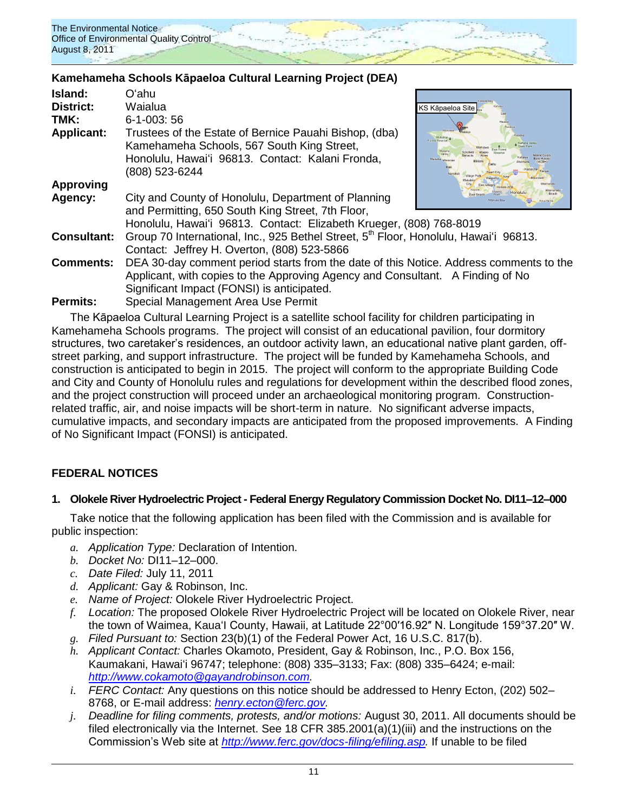

## **Kamehameha Schools Kāpaeloa Cultural Learning Project (DEA)**

| Island:            | Oʻahu                                                                                                                                                                      |                                                                                                                                          |  |
|--------------------|----------------------------------------------------------------------------------------------------------------------------------------------------------------------------|------------------------------------------------------------------------------------------------------------------------------------------|--|
| <b>District:</b>   | Waialua                                                                                                                                                                    | KS Kāpaeloa Site                                                                                                                         |  |
| TMK:               | $6 - 1 - 003$ : 56                                                                                                                                                         |                                                                                                                                          |  |
| <b>Applicant:</b>  | Trustees of the Estate of Bernice Pauahi Bishop, (dba)<br>Kamehameha Schools, 567 South King Street,<br>Honolulu, Hawai'i 96813. Contact: Kalani Fronda,<br>(808) 523-6244 | Punaluu<br>SBBRW<br>Mokuleia<br>Forest Reserve<br>Kahana Valle<br>Makaha<br>Valley<br>Marine Corps<br>Makaha Waiana<br><b>Miage Part</b> |  |
| Approving          |                                                                                                                                                                            |                                                                                                                                          |  |
| Agency:            | City and County of Honolulu, Department of Planning                                                                                                                        | H1.<br>Ana Hana                                                                                                                          |  |
|                    | and Permitting, 650 South King Street, 7th Floor,                                                                                                                          |                                                                                                                                          |  |
|                    | Honolulu, Hawai'i 96813. Contact: Elizabeth Krueger, (808) 768-8019                                                                                                        |                                                                                                                                          |  |
| <b>Consultant:</b> | Group 70 International, Inc., 925 Bethel Street, 5 <sup>th</sup> Floor, Honolulu, Hawai'i 96813.                                                                           |                                                                                                                                          |  |
|                    | Contact: Jeffrey H. Overton, (808) 523-5866                                                                                                                                |                                                                                                                                          |  |
| <b>Comments:</b>   | DEA 30-day comment period starts from the date of this Notice. Address comments to the                                                                                     |                                                                                                                                          |  |
|                    | Applicant, with copies to the Approving Agency and Consultant. A Finding of No                                                                                             |                                                                                                                                          |  |
|                    | Significant Impact (FONSI) is anticipated.                                                                                                                                 |                                                                                                                                          |  |
| <b>Permits:</b>    | Special Management Area Use Permit                                                                                                                                         |                                                                                                                                          |  |

The Kāpaeloa Cultural Learning Project is a satellite school facility for children participating in Kamehameha Schools programs. The project will consist of an educational pavilion, four dormitory structures, two caretaker's residences, an outdoor activity lawn, an educational native plant garden, offstreet parking, and support infrastructure. The project will be funded by Kamehameha Schools, and construction is anticipated to begin in 2015. The project will conform to the appropriate Building Code and City and County of Honolulu rules and regulations for development within the described flood zones, and the project construction will proceed under an archaeological monitoring program. Constructionrelated traffic, air, and noise impacts will be short-term in nature. No significant adverse impacts, cumulative impacts, and secondary impacts are anticipated from the proposed improvements. A Finding of No Significant Impact (FONSI) is anticipated.

## **FEDERAL NOTICES**

## **1. Olokele River Hydroelectric Project - Federal Energy Regulatory Commission Docket No. DI11–12–000**

Take notice that the following application has been filed with the Commission and is available for public inspection:

- *a. Application Type:* Declaration of Intention.
- *b. Docket No:* DI11–12–000.
- *c. Date Filed:* July 11, 2011
- *d. Applicant:* Gay & Robinson, Inc.
- *e. Name of Project:* Olokele River Hydroelectric Project.
- *f. Location:* The proposed Olokele River Hydroelectric Project will be located on Olokele River, near the town of Waimea, Kaua'l County, Hawaii, at Latitude 22°00'16.92" N. Longitude 159°37.20" W.
- *g. Filed Pursuant to:* Section 23(b)(1) of the Federal Power Act, 16 U.S.C. 817(b).
- *h. Applicant Contact:* Charles Okamoto, President, Gay & Robinson, Inc., P.O. Box 156, Kaumakani, Hawai'i 96747; telephone: (808) 335-3133; Fax: (808) 335-6424; e-mail: *[http://www.cokamoto@gayandrobinson.com.](http://www.cokamoto@gayandrobinson.com/)*
- *i. FERC Contact:* Any questions on this notice should be addressed to Henry Ecton, (202) 502– 8768, or E-mail address: *[henry.ecton@ferc.gov.](mailto:henry.ecton@ferc.gov)*
- *j. Deadline for filing comments, protests, and/or motions:* August 30, 2011. All documents should be filed electronically via the Internet. See 18 CFR 385.2001(a)(1)(iii) and the instructions on the Commission's Web site at *[http://www.ferc.gov/docs-filing/efiling.asp.](http://www.ferc.gov/docs-filing/efiling.asp)* If unable to be filed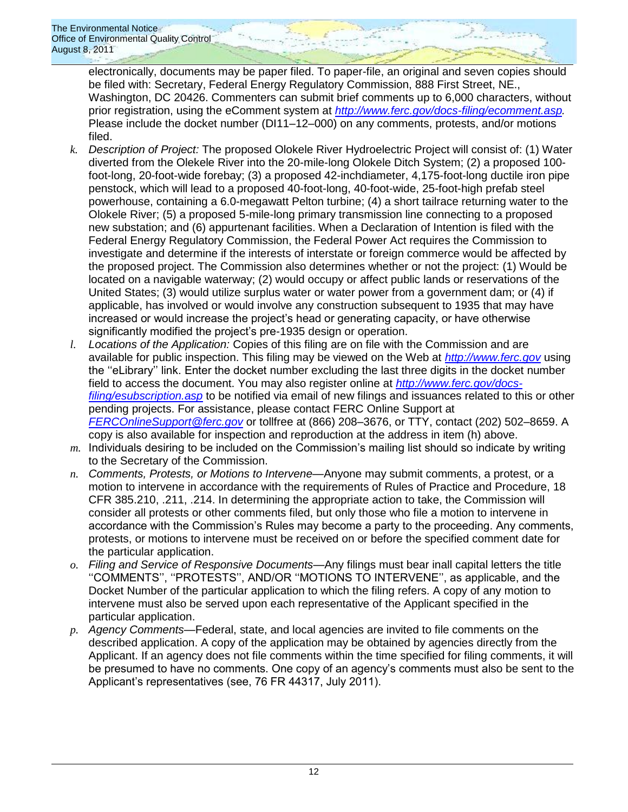electronically, documents may be paper filed. To paper-file, an original and seven copies should be filed with: Secretary, Federal Energy Regulatory Commission, 888 First Street, NE., Washington, DC 20426. Commenters can submit brief comments up to 6,000 characters, without prior registration, using the eComment system at *[http://www.ferc.gov/docs-filing/ecomment.asp.](http://www.ferc.gov/docs-filing/ecomment.asp)*  Please include the docket number (DI11–12–000) on any comments, protests, and/or motions filed.

- *k. Description of Project:* The proposed Olokele River Hydroelectric Project will consist of: (1) Water diverted from the Olekele River into the 20-mile-long Olokele Ditch System; (2) a proposed 100 foot-long, 20-foot-wide forebay; (3) a proposed 42-inchdiameter, 4,175-foot-long ductile iron pipe penstock, which will lead to a proposed 40-foot-long, 40-foot-wide, 25-foot-high prefab steel powerhouse, containing a 6.0-megawatt Pelton turbine; (4) a short tailrace returning water to the Olokele River; (5) a proposed 5-mile-long primary transmission line connecting to a proposed new substation; and (6) appurtenant facilities. When a Declaration of Intention is filed with the Federal Energy Regulatory Commission, the Federal Power Act requires the Commission to investigate and determine if the interests of interstate or foreign commerce would be affected by the proposed project. The Commission also determines whether or not the project: (1) Would be located on a navigable waterway; (2) would occupy or affect public lands or reservations of the United States; (3) would utilize surplus water or water power from a government dam; or (4) if applicable, has involved or would involve any construction subsequent to 1935 that may have increased or would increase the project's head or generating capacity, or have otherwise significantly modified the project's pre-1935 design or operation.
- *l. Locations of the Application:* Copies of this filing are on file with the Commission and are available for public inspection. This filing may be viewed on the Web at *[http://www.ferc.gov](http://www.ferc.gov/)* using the "eLibrary" link. Enter the docket number excluding the last three digits in the docket number field to access the document. You may also register online at *[http://www.ferc.gov/docs](http://www.ferc.gov/docs-filing/esubscription.asp)[filing/esubscription.asp](http://www.ferc.gov/docs-filing/esubscription.asp)* to be notified via email of new filings and issuances related to this or other pending projects. For assistance, please contact FERC Online Support at *[FERCOnlineSupport@ferc.gov](mailto:FERCOnlineSupport@ferc.gov)* or tollfree at (866) 208–3676, or TTY, contact (202) 502–8659. A copy is also available for inspection and reproduction at the address in item (h) above.
- *m.* Individuals desiring to be included on the Commission's mailing list should so indicate by writing to the Secretary of the Commission.
- *n. Comments, Protests, or Motions to Intervene*—Anyone may submit comments, a protest, or a motion to intervene in accordance with the requirements of Rules of Practice and Procedure, 18 CFR 385.210, .211, .214. In determining the appropriate action to take, the Commission will consider all protests or other comments filed, but only those who file a motion to intervene in accordance with the Commission's Rules may become a party to the proceeding. Any comments, protests, or motions to intervene must be received on or before the specified comment date for the particular application.
- *o. Filing and Service of Responsive Documents*—Any filings must bear inall capital letters the title ‗‗COMMENTS'', ‗‗PROTESTS'', AND/OR ‗‗MOTIONS TO INTERVENE'', as applicable, and the Docket Number of the particular application to which the filing refers. A copy of any motion to intervene must also be served upon each representative of the Applicant specified in the particular application.
- *p. Agency Comments*—Federal, state, and local agencies are invited to file comments on the described application. A copy of the application may be obtained by agencies directly from the Applicant. If an agency does not file comments within the time specified for filing comments, it will be presumed to have no comments. One copy of an agency's comments must also be sent to the Applicant's representatives (see, 76 FR 44317, July 2011).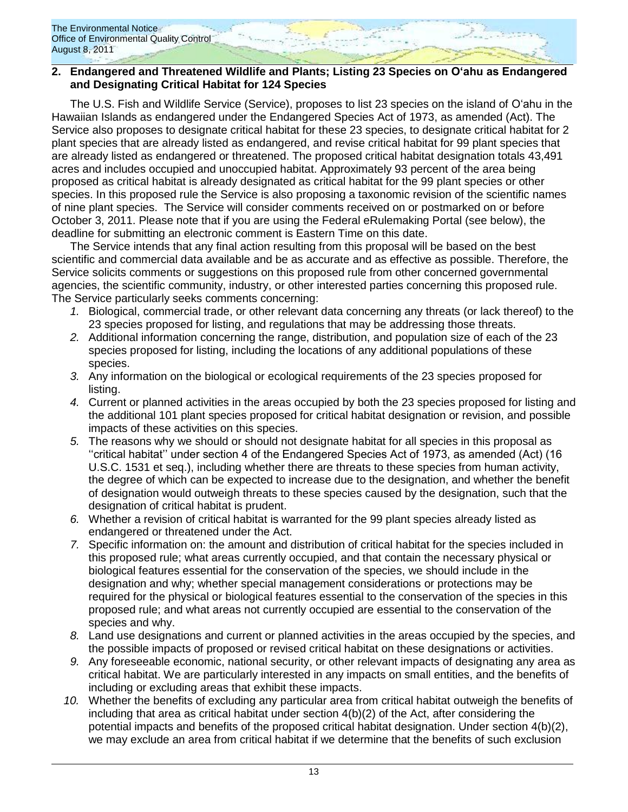## **2. Endangered and Threatened Wildlife and Plants; Listing 23 Species on O'ahu as Endangered and Designating Critical Habitat for 124 Species**

The U.S. Fish and Wildlife Service (Service), proposes to list 23 species on the island of Oʻahu in the Hawaiian Islands as endangered under the Endangered Species Act of 1973, as amended (Act). The Service also proposes to designate critical habitat for these 23 species, to designate critical habitat for 2 plant species that are already listed as endangered, and revise critical habitat for 99 plant species that are already listed as endangered or threatened. The proposed critical habitat designation totals 43,491 acres and includes occupied and unoccupied habitat. Approximately 93 percent of the area being proposed as critical habitat is already designated as critical habitat for the 99 plant species or other species. In this proposed rule the Service is also proposing a taxonomic revision of the scientific names of nine plant species. The Service will consider comments received on or postmarked on or before October 3, 2011. Please note that if you are using the Federal eRulemaking Portal (see below), the deadline for submitting an electronic comment is Eastern Time on this date.

The Service intends that any final action resulting from this proposal will be based on the best scientific and commercial data available and be as accurate and as effective as possible. Therefore, the Service solicits comments or suggestions on this proposed rule from other concerned governmental agencies, the scientific community, industry, or other interested parties concerning this proposed rule. The Service particularly seeks comments concerning:

- *1.* Biological, commercial trade, or other relevant data concerning any threats (or lack thereof) to the 23 species proposed for listing, and regulations that may be addressing those threats.
- *2.* Additional information concerning the range, distribution, and population size of each of the 23 species proposed for listing, including the locations of any additional populations of these species.
- *3.* Any information on the biological or ecological requirements of the 23 species proposed for listing.
- *4.* Current or planned activities in the areas occupied by both the 23 species proposed for listing and the additional 101 plant species proposed for critical habitat designation or revision, and possible impacts of these activities on this species.
- *5.* The reasons why we should or should not designate habitat for all species in this proposal as ‗‗critical habitat'' under section 4 of the Endangered Species Act of 1973, as amended (Act) (16 U.S.C. 1531 et seq.), including whether there are threats to these species from human activity, the degree of which can be expected to increase due to the designation, and whether the benefit of designation would outweigh threats to these species caused by the designation, such that the designation of critical habitat is prudent.
- *6.* Whether a revision of critical habitat is warranted for the 99 plant species already listed as endangered or threatened under the Act.
- *7.* Specific information on: the amount and distribution of critical habitat for the species included in this proposed rule; what areas currently occupied, and that contain the necessary physical or biological features essential for the conservation of the species, we should include in the designation and why; whether special management considerations or protections may be required for the physical or biological features essential to the conservation of the species in this proposed rule; and what areas not currently occupied are essential to the conservation of the species and why.
- *8.* Land use designations and current or planned activities in the areas occupied by the species, and the possible impacts of proposed or revised critical habitat on these designations or activities.
- *9.* Any foreseeable economic, national security, or other relevant impacts of designating any area as critical habitat. We are particularly interested in any impacts on small entities, and the benefits of including or excluding areas that exhibit these impacts.
- *10.* Whether the benefits of excluding any particular area from critical habitat outweigh the benefits of including that area as critical habitat under section 4(b)(2) of the Act, after considering the potential impacts and benefits of the proposed critical habitat designation. Under section 4(b)(2), we may exclude an area from critical habitat if we determine that the benefits of such exclusion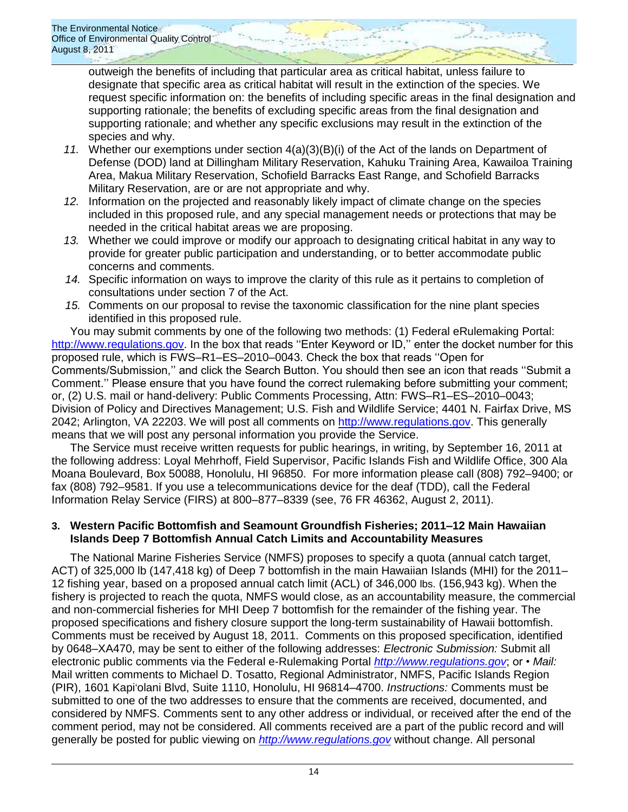outweigh the benefits of including that particular area as critical habitat, unless failure to designate that specific area as critical habitat will result in the extinction of the species. We request specific information on: the benefits of including specific areas in the final designation and supporting rationale; the benefits of excluding specific areas from the final designation and supporting rationale; and whether any specific exclusions may result in the extinction of the species and why.

- *11.* Whether our exemptions under section 4(a)(3)(B)(i) of the Act of the lands on Department of Defense (DOD) land at Dillingham Military Reservation, Kahuku Training Area, Kawailoa Training Area, Makua Military Reservation, Schofield Barracks East Range, and Schofield Barracks Military Reservation, are or are not appropriate and why.
- *12.* Information on the projected and reasonably likely impact of climate change on the species included in this proposed rule, and any special management needs or protections that may be needed in the critical habitat areas we are proposing.
- *13.* Whether we could improve or modify our approach to designating critical habitat in any way to provide for greater public participation and understanding, or to better accommodate public concerns and comments.
- *14.* Specific information on ways to improve the clarity of this rule as it pertains to completion of consultations under section 7 of the Act.
- *15.* Comments on our proposal to revise the taxonomic classification for the nine plant species identified in this proposed rule.

You may submit comments by one of the following two methods: (1) Federal eRulemaking Portal: [http://www.regulations.gov.](http://www.regulations.gov/) In the box that reads "Enter Keyword or ID," enter the docket number for this proposed rule, which is FWS–R1–ES–2010–0043. Check the box that reads "Open for Comments/Submission," and click the Search Button. You should then see an icon that reads "Submit a Comment.'' Please ensure that you have found the correct rulemaking before submitting your comment; or, (2) U.S. mail or hand-delivery: Public Comments Processing, Attn: FWS–R1–ES–2010–0043; Division of Policy and Directives Management; U.S. Fish and Wildlife Service; 4401 N. Fairfax Drive, MS 2042; Arlington, VA 22203. We will post all comments on [http://www.regulations.gov.](http://www.regulations.gov/) This generally means that we will post any personal information you provide the Service.

The Service must receive written requests for public hearings, in writing, by September 16, 2011 at the following address: Loyal Mehrhoff, Field Supervisor, Pacific Islands Fish and Wildlife Office, 300 Ala Moana Boulevard, Box 50088, Honolulu, HI 96850. For more information please call (808) 792–9400; or fax (808) 792–9581. If you use a telecommunications device for the deaf (TDD), call the Federal Information Relay Service (FIRS) at 800–877–8339 (see, 76 FR 46362, August 2, 2011).

## **3. Western Pacific Bottomfish and Seamount Groundfish Fisheries; 2011–12 Main Hawaiian Islands Deep 7 Bottomfish Annual Catch Limits and Accountability Measures**

The National Marine Fisheries Service (NMFS) proposes to specify a quota (annual catch target, ACT) of 325,000 lb (147,418 kg) of Deep 7 bottomfish in the main Hawaiian Islands (MHI) for the 2011– 12 fishing year, based on a proposed annual catch limit (ACL) of 346,000 lbs. (156,943 kg). When the fishery is projected to reach the quota, NMFS would close, as an accountability measure, the commercial and non-commercial fisheries for MHI Deep 7 bottomfish for the remainder of the fishing year. The proposed specifications and fishery closure support the long-term sustainability of Hawaii bottomfish. Comments must be received by August 18, 2011. Comments on this proposed specification, identified by 0648–XA470, may be sent to either of the following addresses: *Electronic Submission:* Submit all electronic public comments via the Federal e-Rulemaking Portal *[http://www.regulations.gov](http://www.regulations.gov/)*; or • *Mail:*  Mail written comments to Michael D. Tosatto, Regional Administrator, NMFS, Pacific Islands Region (PIR), 1601 Kapiʻolani Blvd, Suite 1110, Honolulu, HI 96814–4700. *Instructions:* Comments must be submitted to one of the two addresses to ensure that the comments are received, documented, and considered by NMFS. Comments sent to any other address or individual, or received after the end of the comment period, may not be considered. All comments received are a part of the public record and will generally be posted for public viewing on *[http://www.regulations.gov](http://www.regulations.gov/)* without change. All personal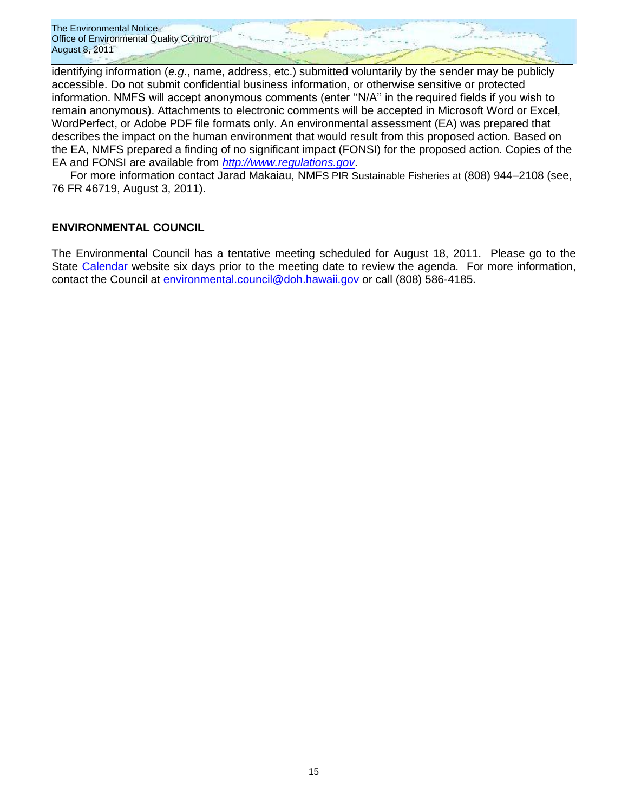identifying information (*e.g.*, name, address, etc.) submitted voluntarily by the sender may be publicly accessible. Do not submit confidential business information, or otherwise sensitive or protected information. NMFS will accept anonymous comments (enter "N/A" in the required fields if you wish to remain anonymous). Attachments to electronic comments will be accepted in Microsoft Word or Excel, WordPerfect, or Adobe PDF file formats only. An environmental assessment (EA) was prepared that describes the impact on the human environment that would result from this proposed action. Based on the EA, NMFS prepared a finding of no significant impact (FONSI) for the proposed action. Copies of the EA and FONSI are available from *[http://www.regulations.gov](http://www.regulations.gov/)*.

For more information contact Jarad Makaiau, NMFS PIR Sustainable Fisheries at (808) 944–2108 (see, 76 FR 46719, August 3, 2011).

## **ENVIRONMENTAL COUNCIL**

The Environmental Council has a tentative meeting scheduled for August 18, 2011. Please go to the State [Calendar](http://calendar.ehawaii.gov/calendar/html/event) website six days prior to the meeting date to review the agenda. For more information, contact the Council at [environmental.council@doh.hawaii.gov](mailto:environmental.council@doh.hawaii.gov) or call (808) 586-4185.